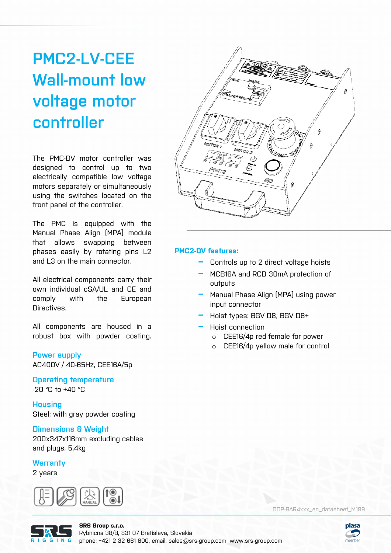# **PMC2-LV-CEE Wall-mount low voltage motor controller**

The PMC-DV motor controller was designed to control up to two electrically compatible low voltage motors separately or simultaneously using the switches located on the front panel of the controller.

The PMC is equipped with the Manual Phase Align (MPA) module that allows swapping between phases easily by rotating pins L2 and L3 on the main connector.

All electrical components carry their own individual cSA/UL and CE and comply with the European Directives.

All components are housed in a robust box with powder coating.

### **Power supply**

AC400V / 40-65Hz, CEE16A/5p

**Operating temperature**  -20 °C to +40 °C

**Housing**  Steel; with gray powder coating

## **Dimensions & Weight**

200x347x116mm excluding cables and plugs, 5,4kg

## **Warranty**

2 years





### **PMC2-DV features:**

- **−** Controls up to 2 direct voltage hoists
- **−** MCB16A and RCD 30mA protection of outputs
- **−** Manual Phase Align (MPA) using power input connector
- **−** Hoist types: BGV D8, BGV D8+
- **−** Hoist connection
	- o CEE16/4p red female for power
	- o CEE16/4p yellow male for control